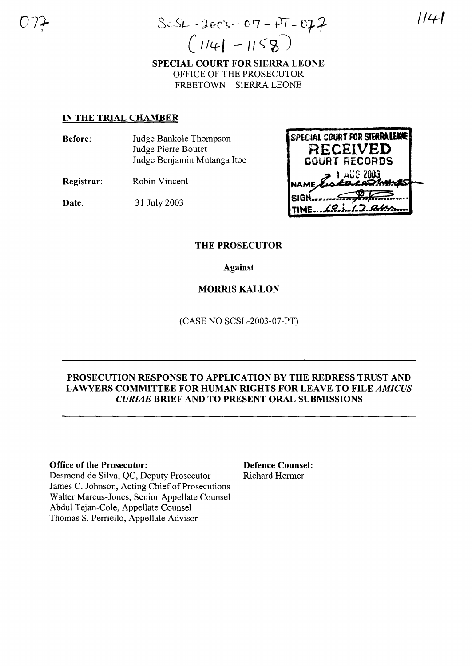$(114 - 1158)$ SPECIAL COURT FOR SIERRA LEONE OFFICE OF THE PROSECUTOR FREETOWN - SIERRA LEONE

### IN THE TRIAL CHAMBER

Before: Judge Bankole Thompson Judge Pierre Boutet Judge Benjamin Mutanga Hoe

Registrar: Robin Vincent

Date: 31 July 2003



### THE PROSECUTOR

Against

### MORRIS KALLON

(CASE NO SCSL-2003-07-PT)

### PROSECUTION RESPONSE TO APPLICATION BY THE REDRESS TRUST AND LAWYERS COMMITTEE FOR HUMAN RIGHTS FOR LEAVE TO FILE *AMICUS CURIAE* BRIEF AND TO PRESENT ORAL SUBMISSIONS

#### Office of the Prosecutor: Defence Counsel:

Desmond de Silva, QC, Deputy Prosecutor Richard Hermer James C. Johnson, Acting Chief of Prosecutions Walter Marcus-Jones, Senior Appellate Counsel Abdul Tejan-Cole, Appellate Counsel Thomas S. Perriello, Appellate Advisor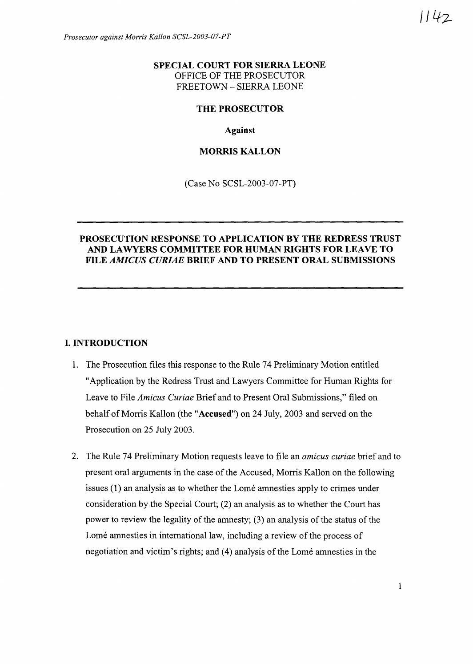### **SPECIAL COURT FOR SIERRA LEONE** OFFICE OF THE PROSECUTOR FREETOWN - SIERRA LEONE

#### **THE PROSECUTOR**

**Against**

#### **MORRIS KALLON**

(Case No SCSL-2003-07-PT)

### **PROSECUTION RESPONSE TO APPLICATION BY THE REDRESS TRUST AND LAWYERS COMMITTEE FOR HUMAN RIGHTS FOR LEAVE TO FILE** *AMICUS CURIAE* **BRIEF AND TO PRESENT ORAL SUBMISSIONS**

#### **I. INTRODUCTION**

- 1. The Prosecution files this response to the Rule 74 Preliminary Motion entitled "Application by the Redress Trust and Lawyers Committee for Human Rights for Leave to File *Amicus Curiae* Brief and to Present Oral Submissions," filed on behalf of Morris Kallon (the "Accused") on 24 July, 2003 and served on the Prosecution on 25 July 2003.
- 2. The Rule 74 Preliminary Motion requests leave to file an *amicus curiae* brief and to present oral arguments in the case of the Accused, Morris Kallon on the following issues (1) an analysis as to whether the Lome amnesties apply to crimes under consideration by the Special Court; (2) an analysis as to whether the Court has power to review the legality of the amnesty;  $(3)$  an analysis of the status of the Lomé amnesties in international law, including a review of the process of negotiation and victim's rights; and (4) analysis of the Lomé amnesties in the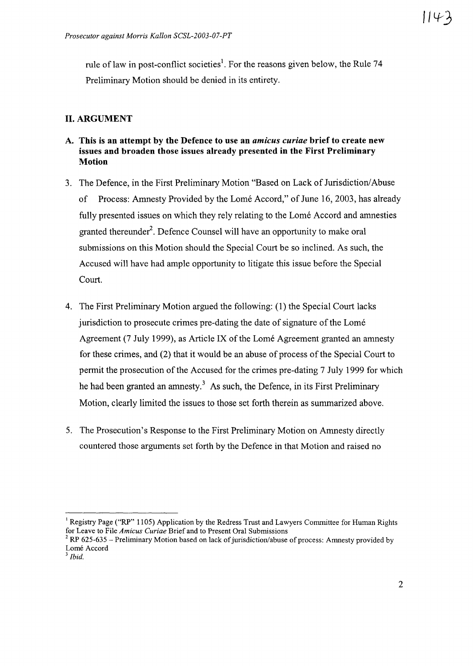rule of law in post-conflict societies<sup>1</sup>. For the reasons given below, the Rule 74 Preliminary Motion should be denied in its entirety.

### **II. ARGUMENT**

- **A. This is an attempt by the Defence to use an** *amicus curiae* **brief to create new issues and broaden those issues already presented in the First Preliminary Motion**
- 3. The Defence, in the First Preliminary Motion "Based on Lack of Jurisdiction/Abuse" of Process: Amnesty Provided by the Lomé Accord," of June 16, 2003, has already fully presented issues on which they rely relating to the Lomé Accord and amnesties granted thereunder<sup>2</sup>. Defence Counsel will have an opportunity to make oral submissions on this Motion should the Special Court be so inclined. As such, the Accused will have had ample opportunity to litigate this issue before the Special Court.
- 4. The First Preliminary Motion argued the following: (l) the Special Court lacks jurisdiction to prosecute crimes pre-dating the date of signature of the Lomé Agreement (7 July 1999), as Article IX of the Lomé Agreement granted an amnesty for these crimes, and (2) that it would be an abuse of process of the Special Court to permit the prosecution of the Accused for the crimes pre-dating 7 July 1999 for which he had been granted an amnesty.<sup>3</sup> As such, the Defence, in its First Preliminary Motion, clearly limited the issues to those set forth therein as summarized above.
- 5. The Prosecution's Response to the First Preliminary Motion on Amnesty directly countered those arguments set forth by the Defence in that Motion and raised no

<sup>&</sup>lt;sup>1</sup> Registry Page ("RP" 1105) Application by the Redress Trust and Lawyers Committee for Human Rights for Leave to File *Amicus Curiae* Brief and to Present Oral Submissions

 $2$  RP 625-635 – Preliminary Motion based on lack of jurisdiction/abuse of process: Amnesty provided by Lomé Accord

<sup>3</sup> *Ibid.*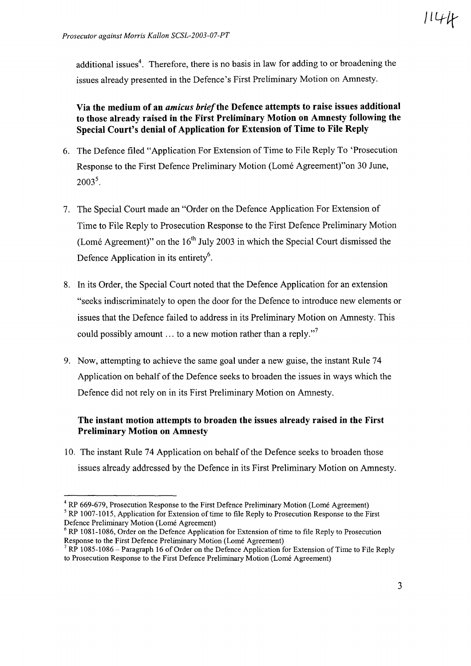additional issues<sup>4</sup>. Therefore, there is no basis in law for adding to or broadening the issues already presented in the Defence's First Preliminary Motion on Amnesty.

## Via the medium of an *amicus brief*the Defence attempts to raise issues additional to those already raised in the First Preliminary Motion on Amnesty following the Special Court's denial of Application for Extension of Time to File Reply

- 6. The Defence filed "Application For Extension of Time to File Reply To 'Prosecution Response to the First Defence Preliminary Motion (Lome Agreement)"on 30 June,  $2003^5$ .
- 7. The Special Court made an "Order on the Defence Application For Extension of Time to File Reply to Prosecution Response to the First Defence Preliminary Motion (Lomé Agreement)" on the  $16<sup>th</sup>$  July 2003 in which the Special Court dismissed the Defence Application in its entirety<sup>6</sup>.
- 8. In its Order, the Special Court noted that the Defence Application for an extension "seeks indiscriminately to open the door for the Defence to introduce new elements or issues that the Defence failed to address in its Preliminary Motion on Amnesty. This could possibly amount ... to a new motion rather than a reply."<sup>7</sup>
- 9. Now, attempting to achieve the same goal under a new guise, the instant Rule 74 Application on behalf of the Defence seeks to broaden the issues in ways which the Defence did not rely on in its First Preliminary Motion on Amnesty.

## The instant motion attempts to broaden the issues already raised in the First Preliminary Motion on Amnesty

10. The instant Rule 74 Application on behalf of the Defence seeks to broaden those issues already addressed by the Defence in its First Preliminary Motion on Amnesty.

<sup>&</sup>lt;sup>4</sup> RP 669-679, Prosecution Response to the First Defence Preliminary Motion (Lomé Agreement)

 $<sup>5</sup>$  RP 1007-1015, Application for Extension of time to file Reply to Prosecution Response to the First</sup> Defence Preliminary Motion (Lome Agreement)

 $6$  RP 1081-1086, Order on the Defence Application for Extension of time to file Reply to Prosecution Response to the First Defence Preliminary Motion (Lome Agreement)

 $<sup>7</sup>$  RP 1085-1086 – Paragraph 16 of Order on the Defence Application for Extension of Time to File Reply</sup> to Prosecution Response to the First Defence Preliminary Motion (Lome Agreement)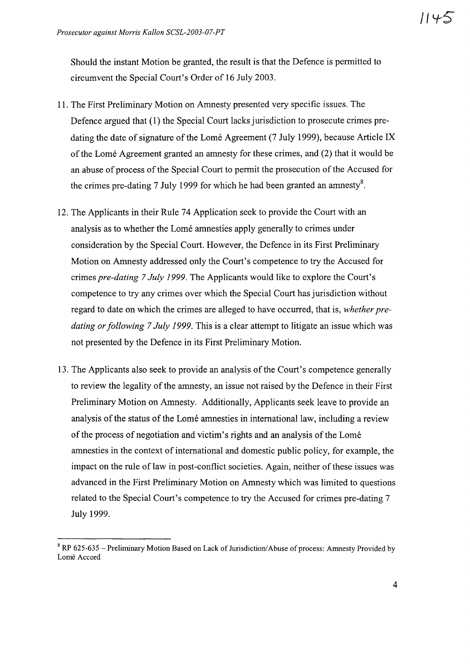Should the instant Motion be granted, the result is that the Defence is permitted to circumvent the Special Court's Order of 16 July 2003.

- 11. The First Preliminary Motion on Amnesty presented very specific issues. The Defence argued that (1) the Special Court lacks jurisdiction to prosecute crimes predating the date of signature of the Lomé Agreement (7 July 1999), because Article IX ofthe Lome Agreement granted an amnesty for these crimes, and (2) that it would be an abuse of process of the Special Court to permit the prosecution of the Accused for the crimes pre-dating 7 July 1999 for which he had been granted an amnesty<sup>8</sup>.
- 12. The Applicants in their Rule 74 Application seek to provide the Court with an analysis as to whether the Lome amnesties apply generally to crimes under consideration by the Special Court. However, the Defence in its First Preliminary Motion on Amnesty addressed only the Court's competence to try the Accused for crimes *pre-dating* 7 *July* 1999. The Applicants would like to explore the Court's competence to try any crimes over which the Special Court has jurisdiction without regard to date on which the crimes are alleged to have occurred, that is, *whether predating or following* 7 *July* 1999. This is a clear attempt to litigate an issue which was not presented by the Defence in its First Preliminary Motion.
- 13. The Applicants also seek to provide an analysis of the Court's competence generally to review the legality of the amnesty, an issue not raised by the Defence in their First Preliminary Motion on Amnesty. Additionally, Applicants seek leave to provide an analysis of the status of the Lomé amnesties in international law, including a review of the process of negotiation and victim's rights and an analysis of the Lomé amnesties in the context of international and domestic public policy, for example, the impact on the rule of law in post-conflict societies. Again, neither of these issues was advanced in the First Preliminary Motion on Amnesty which was limited to questions related to the Special Court's competence to try the Accused for crimes pre-dating 7 July 1999.

<sup>&</sup>lt;sup>8</sup> RP 625-635 - Preliminary Motion Based on Lack of Jurisdiction/Abuse of process: Amnesty Provided by Lomé Accord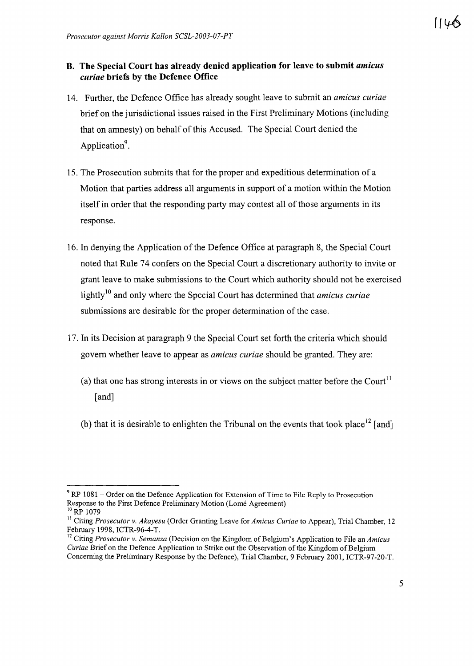### **B. The Special Court has already denied application for leave to submit** *amicus curiae* **briefs by the Defence Office**

- 14. Further, the Defence Office has already sought leave to submit an *amicus curiae* brief on the jurisdictional issues raised in the First Preliminary Motions (including that on amnesty) on behalf ofthis Accused. The Special Court denied the Application<sup>9</sup>.
- 15. The Prosecution submits that for the proper and expeditious determination of a Motion that parties address all arguments in support of a motion within the Motion itself in order that the responding party may contest all of those arguments in its response.
- 16. In denying the Application of the Defence Office at paragraph 8, the Special Court noted that Rule 74 confers on the Special Court a discretionary authority to invite or grant leave to make submissions to the Court which authority should not be exercised lightly<sup>10</sup> and only where the Special Court has determined that *amicus curiae* submissions are desirable for the proper determination of the case.
- 17. In its Decision at paragraph 9 the Special Court set forth the criteria which should govern whether leave to appear as *amicus curiae* should be granted. They are:
	- (a) that one has strong interests in or views on the subject matter before the Court<sup>11</sup> [and]
	- (b) that it is desirable to enlighten the Tribunal on the events that took place<sup>12</sup> [and]

 $9$  RP 1081 – Order on the Defence Application for Extension of Time to File Reply to Prosecution Response to the First Defence Preliminary Motion (Lome Agreement)  $10$  RP 1079

<sup>&</sup>lt;sup>11</sup> Citing *Prosecutor v. Akayesu* (Order Granting Leave for *Amicus Curiae* to Appear), Trial Chamber, 12 February 1998, ICTR-96-4-T.

<sup>&</sup>lt;sup>12</sup> Citing *Prosecutor* v. *Semanza* (Decision on the Kingdom of Belgium's Application to File an *Amicus Curiae* Brief on the Defence Application to Strike out the Observation of the Kingdom of Belgium Concerning the Preliminary Response by the Defence), Trial Chamber, 9 February 2001, ICTR-97-20-T.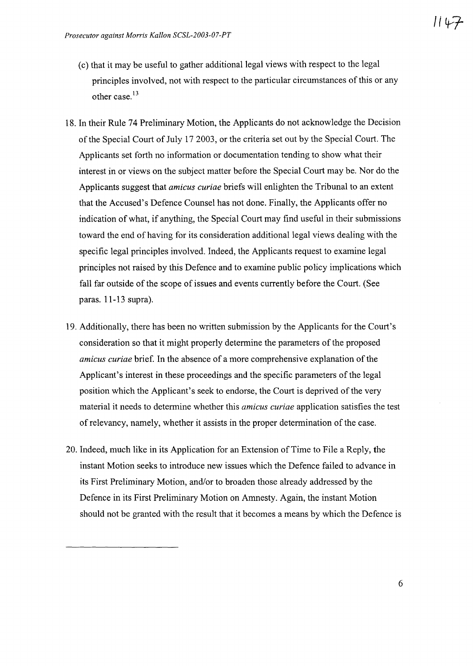- (c) that it may be useful to gather additional legal views with respect to the legal principles involved, not with respect to the particular circumstances ofthis or any other case.<sup>13</sup>
- 18. In their Rule 74 Preliminary Motion, the Applicants do not acknowledge the Decision of the Special Court of July 17 2003, or the criteria set out by the Special Court. The Applicants set forth no information or documentation tending to show what their interest in or views on the subject matter before the Special Court may be. Nor do the Applicants suggest that *amicus curiae* briefs will enlighten the Tribunal to an extent that the Accused's Defence Counsel has not done. Finally, the Applicants offer no indication of what, if anything, the Special Court may find useful in their submissions toward the end of having for its consideration additional legal views dealing with the specific legal principles involved. Indeed, the Applicants request to examine legal principles not raised by this Defence and to examine public policy implications which fall far outside of the scope of issues and events currently before the Court. (See paras. 11-13 supra).
- 19. Additionally, there has been no written submission by the Applicants for the Court's consideration so that it might properly determine the parameters of the proposed *amicus curiae* brief. In the absence of a more comprehensive explanation of the Applicant's interest in these proceedings and the specific parameters of the legal position which the Applicant's seek to endorse, the Court is deprived of the very material it needs to determine whether this *amicus curiae* application satisfies the test of relevancy, namely, whether it assists in the proper determination of the case.
- 20. Indeed, much like in its Application for an Extension of Time to File a Reply, the instant Motion seeks to introduce new issues which the Defence failed to advance in its First Preliminary Motion, and/or to broaden those already addressed by the Defence in its First Preliminary Motion on Amnesty. Again, the instant Motion should not be granted with the result that it becomes a means by which the Defence is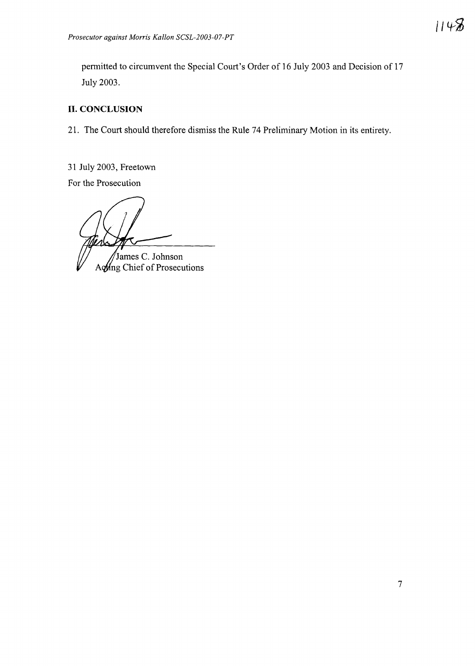permitted to circumvent the Special Court's Order of 16 July 2003 and Decision of 17 July 2003.

## **II. CONCLUSION**

21. The Court should therefore dismiss the Rule 74 Preliminary Motion in its entirety.

31 July 2003, Freetown

For the Prosecution

James C. Johnson

Aong Chief of Prosecutions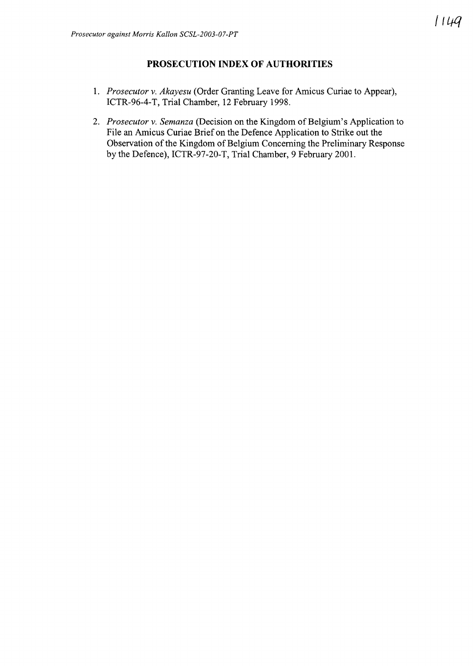## **PROSECUTION INDEX OF AUTHORITIES**

- *1. Prosecutor* v. *Akayesu* (Order Granting Leave for Amicus Curiae to Appear), ICTR-96-4-T, Trial Chamber, 12 February 1998.
- 2. *Prosecutor v. Semanza* (Decision on the Kingdom of Belgium's Application to File an Amicus Curiae Brief on the Defence Application to Strike out the Observation of the Kingdom of Belgium Concerning the Preliminary Response by the Defence), ICTR-97-20-T, Trial Chamber, 9 February 2001.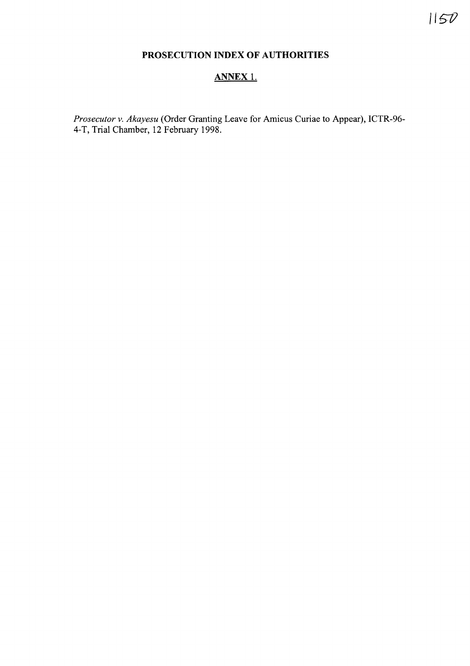# **PROSECUTION INDEX OF AUTHORITIES**

## **ANNEX** 1.

*Prosecutor* v. *Akayesu* (Order Granting Leave for Amicus Curiae to Appear), ICTR-96- 4-T, Trial Chamber, 12 February 1998.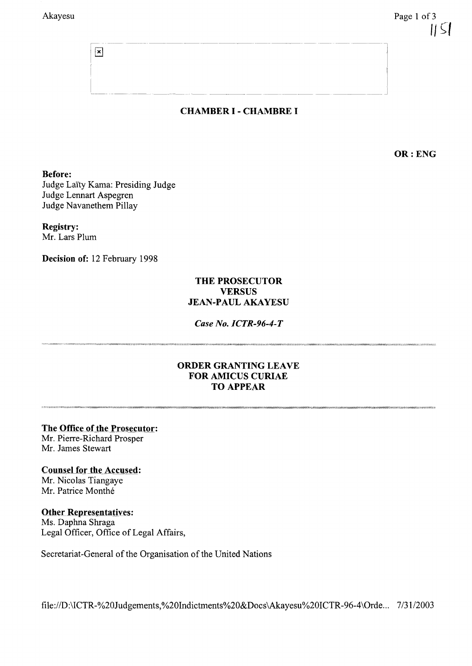CHAMBER 1- CHAMBRE I

---- -----------------------l

<sup>i</sup> \_\_\_\_\_\_\_\_\_\_\_\_\_\_\_\_\_\_\_\_\_\_\_\_ <sup>i</sup>

OR: ENG

#### Before:

Judge Laity Kama: Presiding Judge Judge Lennart Aspegren Judge Navanethem Pillay

 $\boxed{\mathbf{x}}$ 

#### Registry:

Mr. Lars Plum

Decision of: 12 February 1998

### THE PROSECUTOR **VERSUS** JEAN-PAUL AKAYESU

#### *Case No. ICTR-96-4-T*

### ORDER GRANTING LEAVE FOR AMICUS CURIAE TO APPEAR

The Office of the Prosecutor:

Mr. Pierre-Richard Prosper Mr. James Stewart

### Counsel for the Accused:

Mr. Nicolas Tiangaye Mr. Patrice Monthé

### Other Representatives:

Ms. Daphna Shraga Legal Officer, Office of Legal Affairs,

Secretariat-General of the Organisation of the United Nations

fi1e:/ID:\ICTR-%20Judgements,%20Indictments%20&Docs\Akayesu%20ICTR-96-4\Orde... 7/31/2003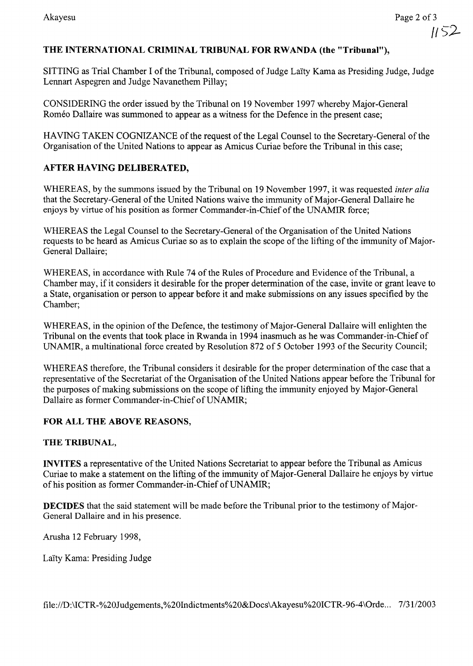II ~:2-

## THE INTERNATIONAL CRIMINAL TRIBUNAL FOR RWANDA (the "Tribunal"),

SITTING as Trial Chamber I of the Tribunal, composed of Judge Laïty Kama as Presiding Judge, Judge Lennart Aspegren and Judge Navanethem Pillay;

CONSIDERING the order issued by the Tribunal on 19 November 1997 whereby Major-General Roméo Dallaire was summoned to appear as a witness for the Defence in the present case;

HAVING TAKEN COGNIZANCE of the request of the Legal Counsel to the Secretary-General of the Organisation of the United Nations to appear as Amicus Curiae before the Tribunal in this case;

## AFTER HAVING DELIBERATED,

WHEREAS, by the summons issued by the Tribunal on 19 November 1997, it was requested *inter alia* that the Secretary-General of the United Nations waive the immunity of Major-General Dallaire he enjoys by virtue of his position as former Commander-in-Chief of the UNAMIR force;

WHEREAS the Legal Counsel to the Secretary-General of the Organisation of the United Nations requests to be heard as Amicus Curiae so as to explain the scope of the lifting of the immunity of Major-General Dallaire;

WHEREAS, in accordance with Rule 74 of the Rules of Procedure and Evidence of the Tribunal, a Chamber may, if it considers it desirable for the proper determination of the case, invite or grant leave to a State, organisation or person to appear before it and make submissions on any issues specified by the Chamber;

WHEREAS, in the opinion of the Defence, the testimony of Major-General Dallaire will enlighten the Tribunal on the events that took place in Rwanda in 1994 inasmuch as he was Commander-in-Chief of UNAMIR, a multinational force created by Resolution 872 of 5 October 1993 of the Security Council;

WHEREAS therefore, the Tribunal considers it desirable for the proper determination of the case that a representative of the Secretariat of the Organisation of the United Nations appear before the Tribunal for the purposes of making submissions on the scope of lifting the immunity enjoyed by Major-General Dallaire as former Commander-in-Chief of UNAMIR;

### FOR ALL THE ABOVE REASONS,

### THE TRIBUNAL,

INVITES a representative of the United Nations Secretariat to appear before the Tribunal as Amicus Curiae to make a statement on the lifting of the immunity of Major-General Dallaire he enjoys by virtue of his position as former Commander-in-Chief of UNAMIR;

DECIDES that the said statement will be made before the Tribunal prior to the testimony of Major-General Dallaire and in his presence.

Arusha 12 February 1998,

LaIty Kama: Presiding Judge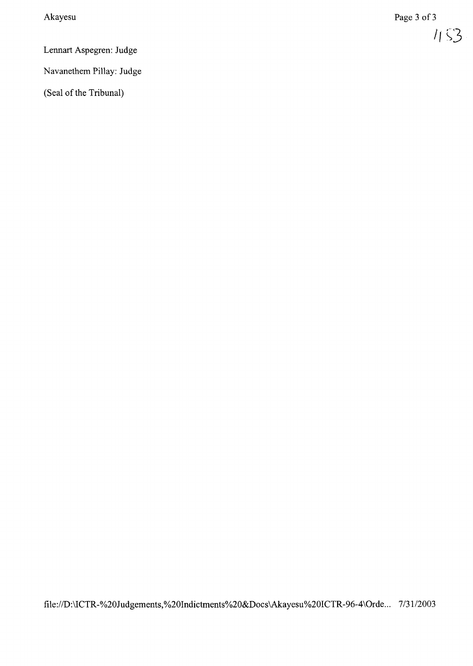$$
1153
$$

Lennart Aspegren: Judge

Navanethem Pillay: Judge

(Seal of the Tribunal)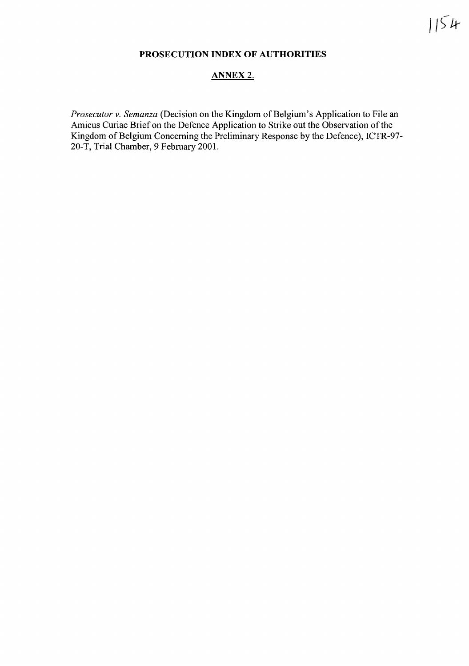## **PROSECUTION INDEX OF AUTHORITIES**

### ANNEX 2.

*Prosecutor v. Semanza* (Decision on the Kingdom of Belgium's Application to File an Amicus Curiae Brief on the Defence Application to Strike out the Observation of the Kingdom of Belgium Concerning the Preliminary Response by the Defence), ICTR-97-20-T, Trial Chamber, 9 February 2001.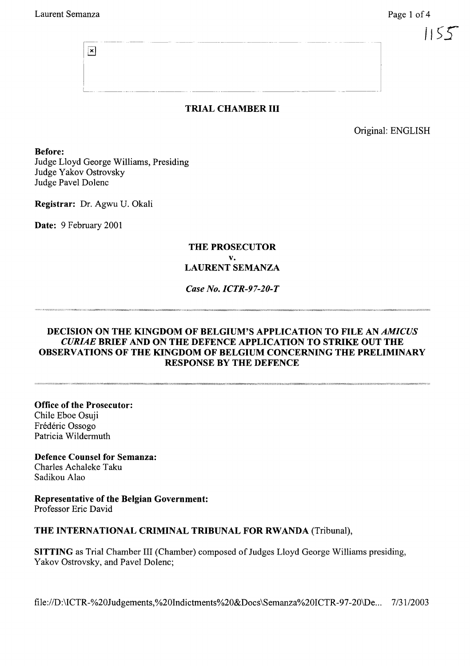$\vert \mathbf{x} \vert$ 

## TRIAL CHAMBER **III**

Original: ENGLISH

Before: Judge Lloyd George Williams, Presiding Judge Yakov Ostrovsky Judge Pavel Dolenc

Registrar: Dr. Agwu U. Okali

Date: 9 February 2001

#### THE PROSECUTOR v. LAURENT SEMANZA

#### *Case No. ICTR-97-20-T*

### DECISION ON THE KINGDOM OF BELGIUM'S APPLICATION TO FILE AN *AMICUS CURIAE* BRIEF AND ON THE DEFENCE APPLICATION TO STRIKE OUT THE OBSERVATIONS OF THE KINGDOM OF BELGIUM CONCERNING THE PRELIMINARY RESPONSE BY THE DEFENCE

Office of the Prosecutor: Chile Eboe Osuji Frédéric Ossogo Patricia Wildermuth

Defence Counsel for Semanza: Charles Achaleke Taku Sadikou Alao

Representative of the Belgian Government: Professor Eric David

#### THE INTERNATIONAL CRIMINAL TRIBUNAL FOR RWANDA (Tribunal),

SITTING as Trial Chamber III (Chamber) composed of Judges Lloyd George Williams presiding, Yakov Ostrovsky, and Pavel Dolenc;

file://D:\ICTR-%20Judgements,%20Indictments%20&Docs\Semanza%20ICTR-97-20\De... 7/31/2003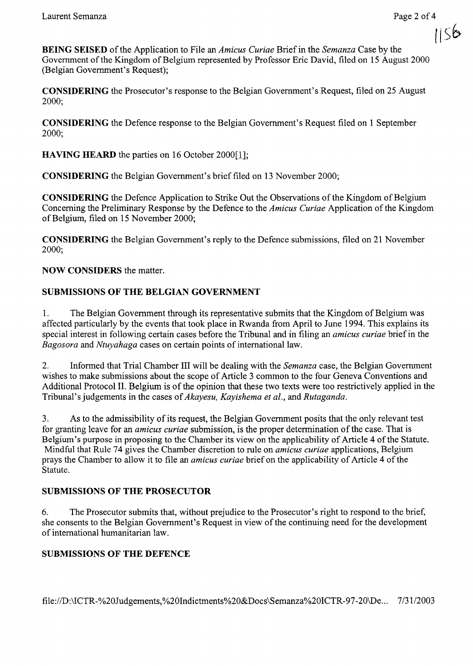(ISh

**BEING SEISED** of the Application to File an *Amicus Curiae* Brief in the *Semanza* Case by the Government of the Kingdom of Belgium represented by Professor Eric David, filed on 15 August 2000 (Belgian Government's Request);

CONSIDERING the Prosecutor's response to the Belgian Government's Request, filed on 25 August 2000;

CONSIDERING the Defence response to the Belgian Government's Request filed on 1 September 2000;

**HAVING HEARD** the parties on 16 October 2000[1];

CONSIDERING the Belgian Government's brief filed on 13 November 2000;

**CONSIDERING** the Defence Application to Strike Out the Observations of the Kingdom of Belgium Concerning the Preliminary Response by the Defence to the *Amicus Curiae* Application of the Kingdom of Belgium, filed on 15 November 2000;

CONSIDERING the Belgian Government's reply to the Defence submissions, filed on 21 November 2000;

### NOW CONSIDERS the matter.

## SUBMISSIONS OF THE BELGIAN GOVERNMENT

1. The Belgian Government through its representative submits that the Kingdom of Belgium was affected particularly by the events that took place in Rwanda from April to June 1994. This explains its special interest in following certain cases before the Tribunal and in filing an *amicus curiae* briefin the *Bagosora* and *Ntuyahaga* cases on certain points of international law.

2. Informed that Trial Chamber III will be dealing with the *Semanza* case, the Belgian Government wishes to make submissions about the scope of Article 3 common to the four Geneva Conventions and Additional Protocol II. Belgium is of the opinion that these two texts were too restrictively applied in the Tribunal's judgements in the cases of*Akayesu, Kayishema et al.,* and *Rutaganda.*

3. As to the admissibility of its request, the Belgian Government posits that the only relevant test for granting leave for an *amicus curiae* submission, is the proper determination of the case. That is Belgium's purpose in proposing to the Chamber its view on the applicability of Article 4 of the Statute. Mindful that Rule 74 gives the Chamber discretion to rule on *amicus curiae* applications, Belgium prays the Chamber to allow it to file an *amicus curiae* brief on the applicability of Article 4 of the Statute.

### SUBMISSIONS OF THE PROSECUTOR

6. The Prosecutor submits that, without prejudice to the Prosecutor's right to respond to the brief, she consents to the Belgian Government's Request in view ofthe continuing need for the development of international humanitarian law.

### SUBMISSIONS OF THE DEFENCE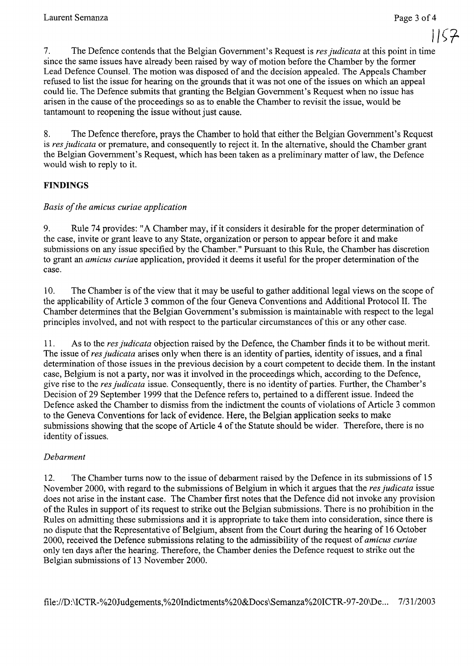$1157$ 

7. The Defence contends that the Belgian Government's Request is *resjudicata* at this point in time since the same issues have already been raised by way of motion before the Chamber by the former Lead Defence Counsel. The motion was disposed of and the decision appealed. The Appeals Chamber refused to list the issue for hearing on the grounds that it was not one of the issues on which an appeal could lie. The Defence submits that granting the Belgian Government's Request when no issue has arisen in the cause ofthe proceedings so as to enable the Chamber to revisit the issue, would be tantamount to reopening the issue without just cause.

8. The Defence therefore, prays the Chamber to hold that either the Belgian Government's Request is *resjudicata* or premature, and consequently to reject it. In the alternative, should the Chamber grant the Belgian Government's Request, which has been taken as a preliminary matter of law, the Defence would wish to reply to it.

## **FINDINGS**

## *Basis ofthe amicus curiae application*

9. Rule 74 provides: "A Chamber may, if it considers it desirable for the proper determination of the case, invite or grant leave to any State, organization or person to appear before it and make submissions on any issue specified by the Chamber." Pursuant to this Rule, the Chamber has discretion to grant an *amicus curiae* application, provided it deems it useful for the proper determination ofthe case.

10. The Chamber is ofthe view that it may be useful to gather additional legal views on the scope of the applicability of Article 3 common of the four Geneva Conventions and Additional Protocol II. The Chamber determines that the Belgian Government's submission is maintainable with respect to the legal principles involved, and not with respect to the particular circumstances ofthis or any other case.

11. As to the *resjudicata* objection raised by the Defence, the Chamber finds it to be without merit. The issue of *res judicata* arises only when there is an identity of parties, identity of issues, and a final determination of those issues in the previous decision by a court competent to decide them. In the instant case, Belgium is not a party, nor was it involved in the proceedings which, according to the Defence, give rise to the *resjudicata* issue. Consequently, there is no identity of parties. Further, the Chamber's Decision of 29 September 1999 that the Defence refers to, pertained to a different issue. Indeed the Defence asked the Chamber to dismiss from the indictment the counts of violations of Article 3 common to the Geneva Conventions for lack of evidence. Here, the Belgian application seeks to make submissions showing that the scope of Article 4 of the Statute should be wider. Therefore, there is no identity of issues.

### *Debarment*

12. The Chamber turns now to the issue of debarment raised by the Defence in its submissions of 15 November 2000, with regard to the submissions of Belgium in which it argues that the *res judicata* issue does not arise in the instant case. The Chamber first notes that the Defence did not invoke any provision of the Rules in support of its request to strike out the Belgian submissions. There is no prohibition in the Rules on admitting these submissions and it is appropriate to take them into consideration, since there is no dispute that the Representative of Belgium, absent from the Court during the hearing of 16 October 2000, received the Defence submissions relating to the admissibility ofthe request of *amicus curiae* only ten days after the hearing. Therefore, the Chamber denies the Defence request to strike out the Belgian submissions of 13 November 2000.